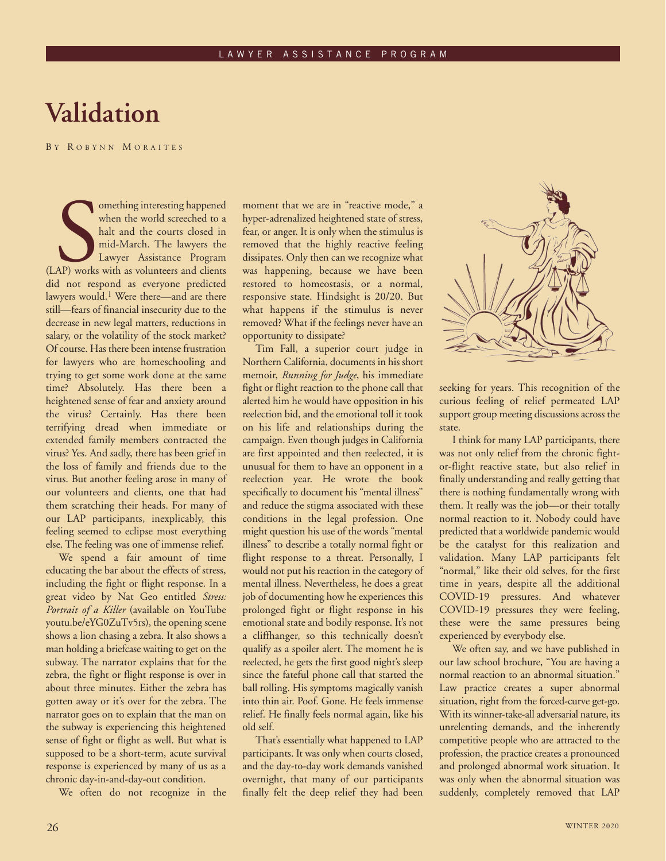## **Validation**

B Y R OBYNN M ORAITES

omething interesting happened<br>
when the world screeched to a<br>
halt and the courts closed in<br>
mid-March. The lawyers the<br>
Lawyer Assistance Program<br>
(LAP) works with as volunteers and clients<br>
did not respond as everyone pr omething interesting happened when the world screeched to a halt and the courts closed in mid-March. The lawyers the Lawyer Assistance Program did not respond as everyone predicted lawyers would.<sup>1</sup> Were there—and are there still—fears of financial insecurity due to the decrease in new legal matters, reductions in salary, or the volatility of the stock market? Of course. Has there been intense frustration for lawyers who are homeschooling and trying to get some work done at the same time? Absolutely. Has there been a heightened sense of fear and anxiety around the virus? Certainly. Has there been terrifying dread when immediate or extended family members contracted the virus? Yes. And sadly, there has been grief in the loss of family and friends due to the virus. But another feeling arose in many of our volunteers and clients, one that had them scratching their heads. For many of our LAP participants, inexplicably, this feeling seemed to eclipse most everything else. The feeling was one of immense relief.

We spend a fair amount of time educating the bar about the effects of stress, including the fight or flight response. In a great video by Nat Geo entitled *Stress: Portrait of a Killer* (available on YouTube youtu.be/eYG0ZuTv5rs), the opening scene shows a lion chasing a zebra. It also shows a man holding a briefcase waiting to get on the subway. The narrator explains that for the zebra, the fight or flight response is over in about three minutes. Either the zebra has gotten away or it's over for the zebra. The narrator goes on to explain that the man on the subway is experiencing this heightened sense of fight or flight as well. But what is supposed to be a short-term, acute survival response is experienced by many of us as a chronic day-in-and-day-out condition.

We often do not recognize in the

moment that we are in "reactive mode," a hyper-adrenalized heightened state of stress, fear, or anger. It is only when the stimulus is removed that the highly reactive feeling dissipates. Only then can we recognize what was happening, because we have been restored to homeostasis, or a normal, responsive state. Hindsight is 20/20. But what happens if the stimulus is never removed? What if the feelings never have an opportunity to dissipate?

Tim Fall, a superior court judge in Northern California, documents in his short memoir, *Running for Judge*, his immediate fight or flight reaction to the phone call that alerted him he would have opposition in his reelection bid, and the emotional toll it took on his life and relationships during the campaign. Even though judges in California are first appointed and then reelected, it is unusual for them to have an opponent in a reelection year. He wrote the book specifically to document his "mental illness" and reduce the stigma associated with these conditions in the legal profession. One might question his use of the words "mental illness" to describe a totally normal fight or flight response to a threat. Personally, I would not put his reaction in the category of mental illness. Nevertheless, he does a great job of documenting how he experiences this prolonged fight or flight response in his emotional state and bodily response. It's not a cliffhanger, so this technically doesn't qualify as a spoiler alert. The moment he is reelected, he gets the first good night's sleep since the fateful phone call that started the ball rolling. His symptoms magically vanish into thin air. Poof. Gone. He feels immense relief. He finally feels normal again, like his old self.

That's essentially what happened to LAP participants. It was only when courts closed, and the day-to-day work demands vanished overnight, that many of our participants finally felt the deep relief they had been



seeking for years. This recognition of the curious feeling of relief permeated LAP support group meeting discussions across the state.

I think for many LAP participants, there was not only relief from the chronic fightor-flight reactive state, but also relief in finally understanding and really getting that there is nothing fundamentally wrong with them. It really was the job—or their totally normal reaction to it. Nobody could have predicted that a worldwide pandemic would be the catalyst for this realization and validation. Many LAP participants felt "normal," like their old selves, for the first time in years, despite all the additional COVID-19 pressures. And whatever COVID-19 pressures they were feeling, these were the same pressures being experienced by everybody else.

We often say, and we have published in our law school brochure, "You are having a normal reaction to an abnormal situation." Law practice creates a super abnormal situation, right from the forced-curve get-go. With its winner-take-all adversarial nature, its unrelenting demands, and the inherently competitive people who are attracted to the profession, the practice creates a pronounced and prolonged abnormal work situation. It was only when the abnormal situation was suddenly, completely removed that LAP